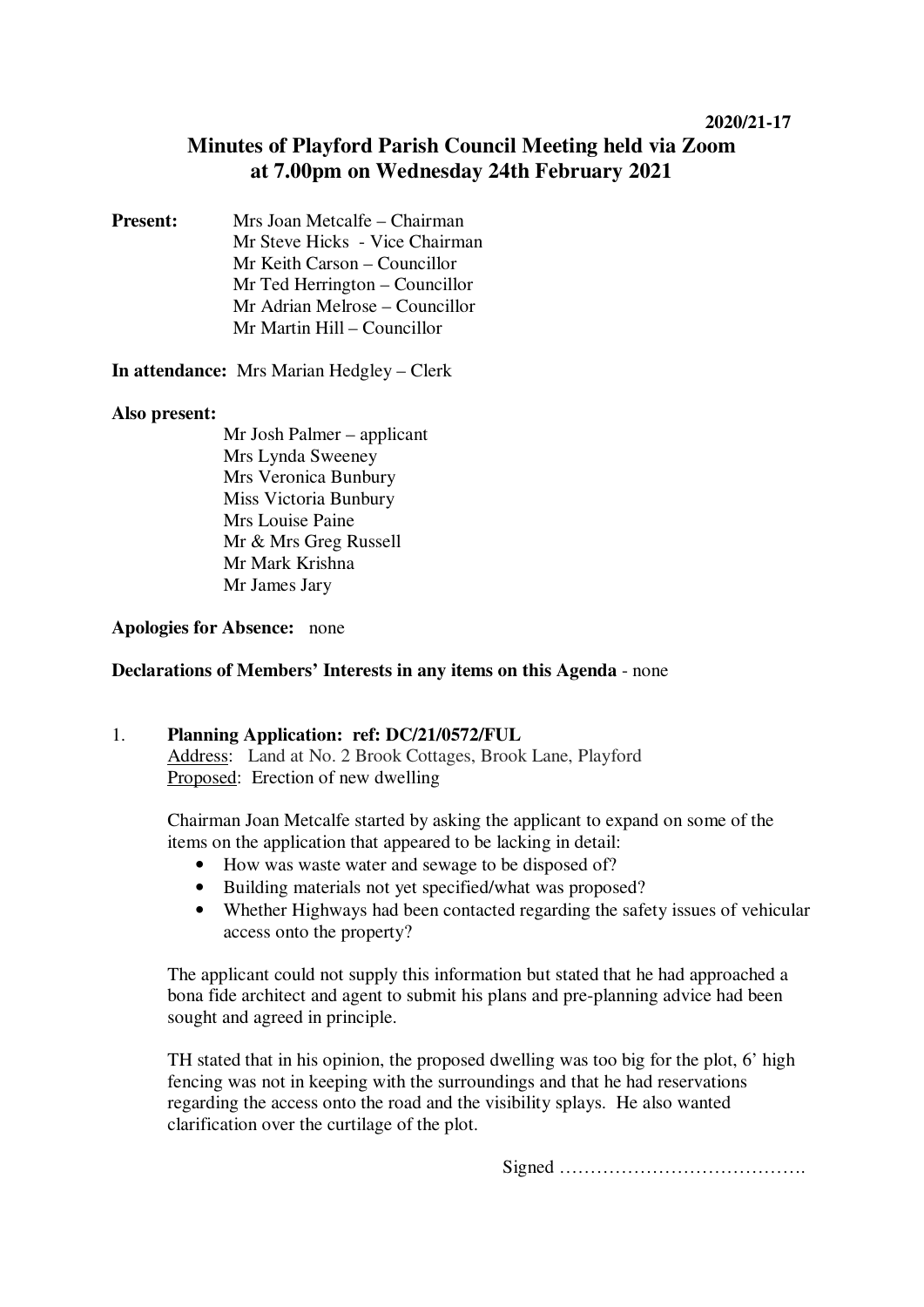# **Minutes of Playford Parish Council Meeting held via Zoom at 7.00pm on Wednesday 24th February 2021**

**Present:** Mrs Joan Metcalfe – Chairman Mr Steve Hicks - Vice Chairman Mr Keith Carson – Councillor Mr Ted Herrington – Councillor Mr Adrian Melrose – Councillor Mr Martin Hill – Councillor

**In attendance:** Mrs Marian Hedgley – Clerk

# **Also present:**

Mr Josh Palmer – applicant Mrs Lynda Sweeney Mrs Veronica Bunbury Miss Victoria Bunbury Mrs Louise Paine Mr & Mrs Greg Russell Mr Mark Krishna Mr James Jary

# **Apologies for Absence:** none

## **Declarations of Members' Interests in any items on this Agenda** - none

## 1. **Planning Application: ref: DC/21/0572/FUL**

Address: Land at No. 2 Brook Cottages, Brook Lane, Playford Proposed: Erection of new dwelling

Chairman Joan Metcalfe started by asking the applicant to expand on some of the items on the application that appeared to be lacking in detail:

- How was waste water and sewage to be disposed of?
- Building materials not yet specified/what was proposed?
- Whether Highways had been contacted regarding the safety issues of vehicular access onto the property?

The applicant could not supply this information but stated that he had approached a bona fide architect and agent to submit his plans and pre-planning advice had been sought and agreed in principle.

TH stated that in his opinion, the proposed dwelling was too big for the plot, 6' high fencing was not in keeping with the surroundings and that he had reservations regarding the access onto the road and the visibility splays. He also wanted clarification over the curtilage of the plot.

Signed ………………………………….